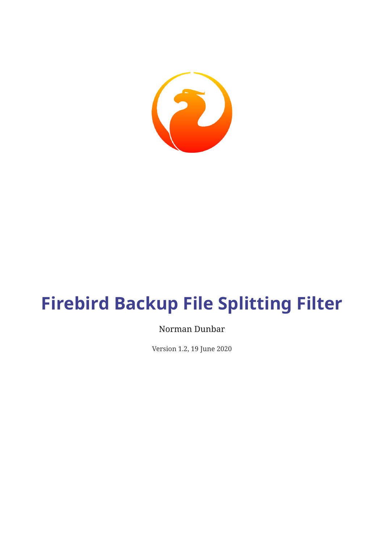

# **Firebird Backup File Splitting Filter**

### Norman Dunbar

Version 1.2, 19 June 2020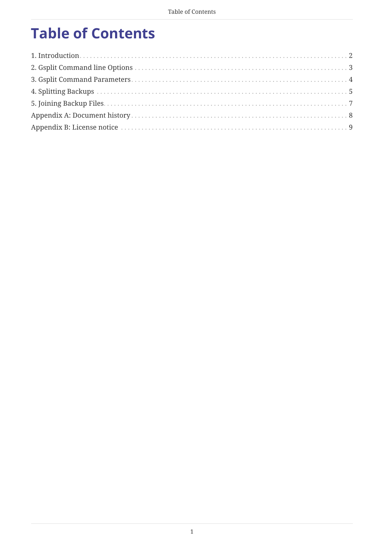# **Table of Contents**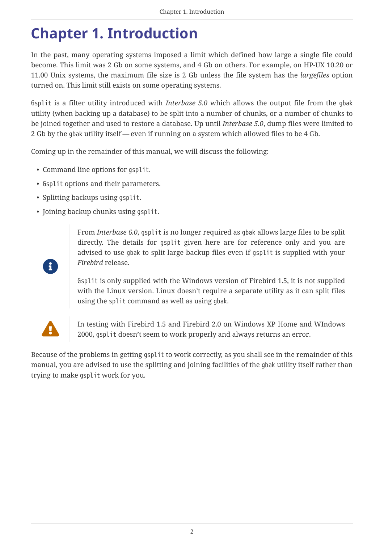### <span id="page-2-0"></span>**Chapter 1. Introduction**

In the past, many operating systems imposed a limit which defined how large a single file could become. This limit was 2 Gb on some systems, and 4 Gb on others. For example, on HP-UX 10.20 or 11.00 Unix systems, the maximum file size is 2 Gb unless the file system has the *largefiles* option turned on. This limit still exists on some operating systems.

Gsplit is a filter utility introduced with *Interbase 5.0* which allows the output file from the gbak utility (when backing up a database) to be split into a number of chunks, or a number of chunks to be joined together and used to restore a database. Up until *Interbase 5.0*, dump files were limited to 2 Gb by the gbak utility itself — even if running on a system which allowed files to be 4 Gb.

Coming up in the remainder of this manual, we will discuss the following:

- Command line options for gsplit.
- Gsplit options and their parameters.
- Splitting backups using gsplit.
- Joining backup chunks using gsplit.

From *Interbase 6.0*, gsplit is no longer required as gbak allows large files to be split directly. The details for gsplit given here are for reference only and you are advised to use gbak to split large backup files even if gsplit is supplied with your *Firebird* release.

Gsplit is only supplied with the Windows version of Firebird 1.5, it is not supplied with the Linux version. Linux doesn't require a separate utility as it can split files using the split command as well as using gbak.



 $\mathbf{1}^{\prime}$ 

 In testing with Firebird 1.5 and Firebird 2.0 on Windows XP Home and WIndows 2000, gsplit doesn't seem to work properly and always returns an error.

Because of the problems in getting gsplit to work correctly, as you shall see in the remainder of this manual, you are advised to use the splitting and joining facilities of the gbak utility itself rather than trying to make gsplit work for you.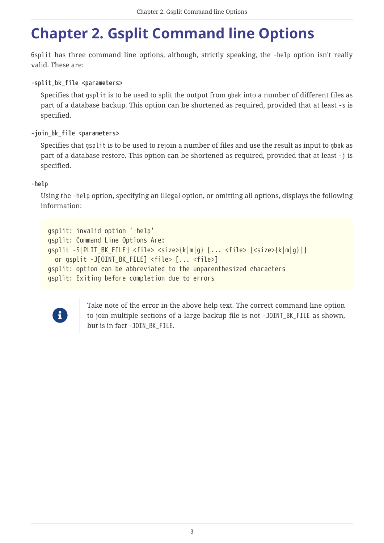# <span id="page-3-0"></span>**Chapter 2. Gsplit Command line Options**

Gsplit has three command line options, although, strictly speaking, the -help option isn't really valid. These are:

**-split\_bk\_file <parameters>**

Specifies that gsplit is to be used to split the output from gbak into a number of different files as part of a database backup. This option can be shortened as required, provided that at least -s is specified.

#### **-join\_bk\_file <parameters>**

Specifies that gsplit is to be used to rejoin a number of files and use the result as input to gbak as part of a database restore. This option can be shortened as required, provided that at least -j is specified.

#### **-help**

Using the -help option, specifying an illegal option, or omitting all options, displays the following information:

```
gsplit: invalid option '-help'
gsplit: Command Line Options Are:
gsplit -S[PLIT_BK_FILE] <file> <size>{k|m|g} [... <file> [<size>{k|m|g}]]
    or gsplit -J[OINT_BK_FILE] <file> [... <file>]
gsplit: option can be abbreviated to the unparenthesized characters
gsplit: Exiting before completion due to errors
```


Take note of the error in the above help text. The correct command line option to join multiple sections of a large backup file is not -JOINT\_BK\_FILE as shown, but is in fact -JOIN\_BK\_FILE.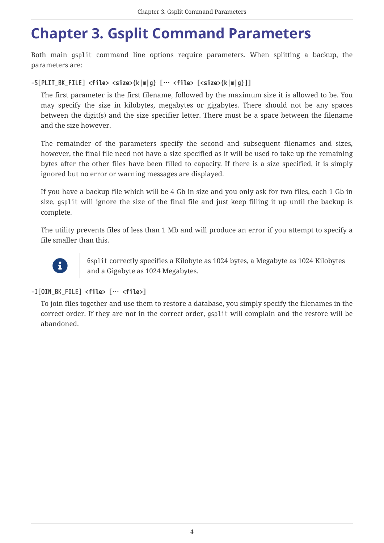### <span id="page-4-0"></span>**Chapter 3. Gsplit Command Parameters**

Both main gsplit command line options require parameters. When splitting a backup, the parameters are:

### **-S[PLIT\_BK\_FILE] <***file***> <***size***>{k|m|g} [… <***file***> [<***size***>{k|m|g}]]**

The first parameter is the first filename, followed by the maximum size it is allowed to be. You may specify the size in kilobytes, megabytes or gigabytes. There should not be any spaces between the digit(s) and the size specifier letter. There must be a space between the filename and the size however.

The remainder of the parameters specify the second and subsequent filenames and sizes, however, the final file need not have a size specified as it will be used to take up the remaining bytes after the other files have been filled to capacity. If there is a size specified, it is simply ignored but no error or warning messages are displayed.

If you have a backup file which will be 4 Gb in size and you only ask for two files, each 1 Gb in size, gsplit will ignore the size of the final file and just keep filling it up until the backup is complete.

The utility prevents files of less than 1 Mb and will produce an error if you attempt to specify a file smaller than this.



Gsplit correctly specifies a Kilobyte as 1024 bytes, a Megabyte as 1024 Kilobytes and a Gigabyte as 1024 Megabytes.

### **-J[OIN\_BK\_FILE] <***file***> [… <***file***>]**

To join files together and use them to restore a database, you simply specify the filenames in the correct order. If they are not in the correct order, gsplit will complain and the restore will be abandoned.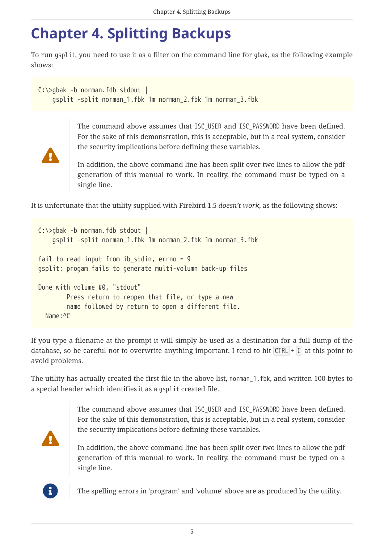# <span id="page-5-0"></span>**Chapter 4. Splitting Backups**

To run gsplit, you need to use it as a filter on the command line for gbak, as the following example shows:

```
C:\>gbak -b norman.fdb stdout |
      gsplit -split norman_1.fbk 1m norman_2.fbk 1m norman_3.fbk
```


The command above assumes that ISC USER and ISC PASSWORD have been defined. For the sake of this demonstration, this is acceptable, but in a real system, consider the security implications before defining these variables.

In addition, the above command line has been split over two lines to allow the pdf generation of this manual to work. In reality, the command must be typed on a single line.

It is unfortunate that the utility supplied with Firebird 1.5 *doesn't work*, as the following shows:

```
C:\>gbak -b norman.fdb stdout |
      gsplit -split norman_1.fbk 1m norman_2.fbk 1m norman_3.fbk
fail to read input from ib stdin, errno = 9
gsplit: progam fails to generate multi-volumn back-up files
Done with volume #0, "stdout"
          Press return to reopen that file, or type a new
          name followed by return to open a different file.
   Name:^C
```
If you type a filename at the prompt it will simply be used as a destination for a full dump of the database, so be careful not to overwrite anything important. I tend to hit  $\text{CTRL} + \text{C}$  at this point to avoid problems.

The utility has actually created the first file in the above list, norman 1.fbk, and written 100 bytes to a special header which identifies it as a gsplit created file.

> The command above assumes that ISC\_USER and ISC\_PASSWORD have been defined. For the sake of this demonstration, this is acceptable, but in a real system, consider the security implications before defining these variables.



In addition, the above command line has been split over two lines to allow the pdf generation of this manual to work. In reality, the command must be typed on a single line.



The spelling errors in 'program' and 'volume' above are as produced by the utility.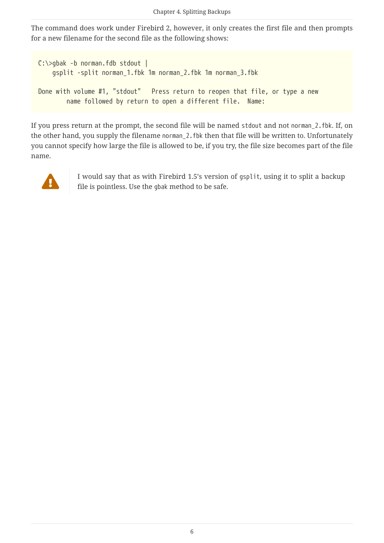The command does work under Firebird 2, however, it only creates the first file and then prompts for a new filename for the second file as the following shows:

```
C:\>gbak -b norman.fdb stdout |
      gsplit -split norman_1.fbk 1m norman_2.fbk 1m norman_3.fbk
Done with volume #1, "stdout" Press return to reopen that file, or type a new
          name followed by return to open a different file. Name:
```
If you press return at the prompt, the second file will be named stdout and not norman\_2.fbk. If, on the other hand, you supply the filename norman\_2.fbk then that file will be written to. Unfortunately you cannot specify how large the file is allowed to be, if you try, the file size becomes part of the file name.



I would say that as with Firebird 1.5's version of gsplit, using it to split a backup file is pointless. Use the gbak method to be safe.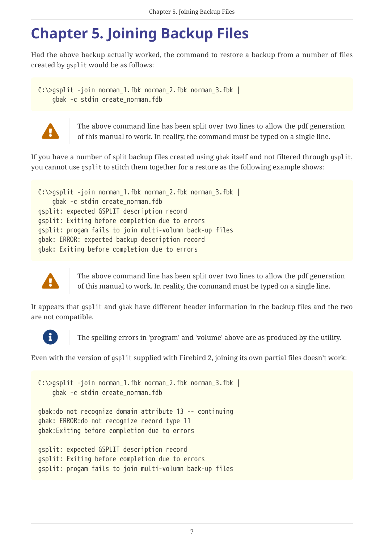# <span id="page-7-0"></span>**Chapter 5. Joining Backup Files**

Had the above backup actually worked, the command to restore a backup from a number of files created by gsplit would be as follows:

C:\>gsplit -join norman 1.fbk norman 2.fbk norman 3.fbk | gbak -c stdin create\_norman.fdb



The above command line has been split over two lines to allow the pdf generation of this manual to work. In reality, the command must be typed on a single line.

If you have a number of split backup files created using gbak itself and not filtered through gsplit, you cannot use gsplit to stitch them together for a restore as the following example shows:

```
C:\>gsplit -join norman_1.fbk norman_2.fbk norman_3.fbk |
      gbak -c stdin create_norman.fdb
gsplit: expected GSPLIT description record
gsplit: Exiting before completion due to errors
gsplit: progam fails to join multi-volumn back-up files
gbak: ERROR: expected backup description record
gbak: Exiting before completion due to errors
```


The above command line has been split over two lines to allow the pdf generation of this manual to work. In reality, the command must be typed on a single line.

It appears that gsplit and gbak have different header information in the backup files and the two are not compatible.



The spelling errors in 'program' and 'volume' above are as produced by the utility.

Even with the version of gsplit supplied with Firebird 2, joining its own partial files doesn't work:

```
C:\>gsplit -join norman_1.fbk norman_2.fbk norman_3.fbk |
      gbak -c stdin create_norman.fdb
gbak:do not recognize domain attribute 13 -- continuing
gbak: ERROR:do not recognize record type 11
gbak:Exiting before completion due to errors
gsplit: expected GSPLIT description record
gsplit: Exiting before completion due to errors
```

```
gsplit: progam fails to join multi-volumn back-up files
```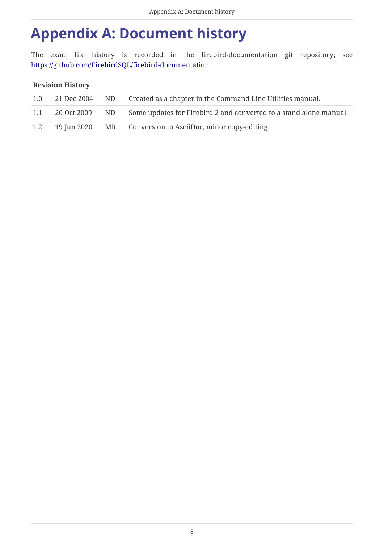### <span id="page-8-0"></span>**Appendix A: Document history**

The exact file history is recorded in the firebird-documentation git repository; see <https://github.com/FirebirdSQL/firebird-documentation>

### **Revision History**

| 1.0 | 21 Dec 2004 ND | Created as a chapter in the Command Line Utilities manual.            |
|-----|----------------|-----------------------------------------------------------------------|
| 1.1 | 20 Oct 2009    | ND Some updates for Firebird 2 and converted to a stand alone manual. |
| 1.2 |                | 19 Jun 2020 MR Conversion to AsciiDoc, minor copy-editing             |